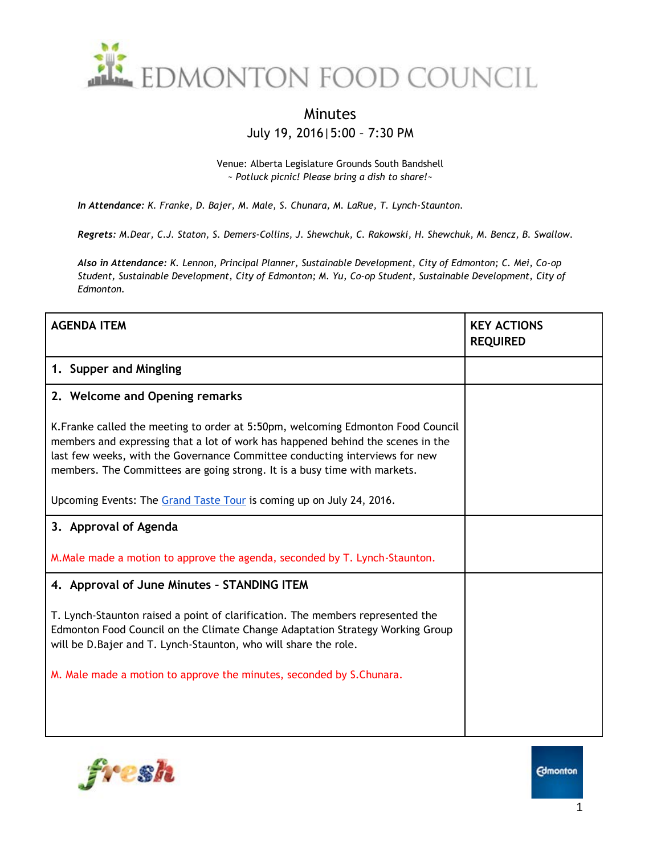

## Minutes July 19, 2016|5:00 – 7:30 PM

Venue: Alberta Legislature Grounds South Bandshell *~ Potluck picnic! Please bring a dish to share!~*

*In Attendance: K. Franke, D. Bajer, M. Male, S. Chunara, M. LaRue, T. Lynch-Staunton.*

*Regrets: M.Dear, C.J. Staton, S. Demers-Collins, J. Shewchuk, C. Rakowski, H. Shewchuk, M. Bencz, B. Swallow.*

*Also in Attendance: K. Lennon, Principal Planner, Sustainable Development, City of Edmonton; C. Mei, Co-op Student, Sustainable Development, City of Edmonton; M. Yu, Co-op Student, Sustainable Development, City of Edmonton.*

| <b>AGENDA ITEM</b>                                                                                                                                                                                                                                                                                                              | <b>KEY ACTIONS</b><br><b>REQUIRED</b> |
|---------------------------------------------------------------------------------------------------------------------------------------------------------------------------------------------------------------------------------------------------------------------------------------------------------------------------------|---------------------------------------|
| 1. Supper and Mingling                                                                                                                                                                                                                                                                                                          |                                       |
| 2. Welcome and Opening remarks                                                                                                                                                                                                                                                                                                  |                                       |
| K. Franke called the meeting to order at 5:50pm, welcoming Edmonton Food Council<br>members and expressing that a lot of work has happened behind the scenes in the<br>last few weeks, with the Governance Committee conducting interviews for new<br>members. The Committees are going strong. It is a busy time with markets. |                                       |
| Upcoming Events: The Grand Taste Tour is coming up on July 24, 2016.                                                                                                                                                                                                                                                            |                                       |
| 3. Approval of Agenda                                                                                                                                                                                                                                                                                                           |                                       |
| M. Male made a motion to approve the agenda, seconded by T. Lynch-Staunton.                                                                                                                                                                                                                                                     |                                       |
| 4. Approval of June Minutes - STANDING ITEM                                                                                                                                                                                                                                                                                     |                                       |
| T. Lynch-Staunton raised a point of clarification. The members represented the<br>Edmonton Food Council on the Climate Change Adaptation Strategy Working Group<br>will be D.Bajer and T. Lynch-Staunton, who will share the role.                                                                                              |                                       |
| M. Male made a motion to approve the minutes, seconded by S.Chunara.                                                                                                                                                                                                                                                            |                                       |
|                                                                                                                                                                                                                                                                                                                                 |                                       |
|                                                                                                                                                                                                                                                                                                                                 |                                       |

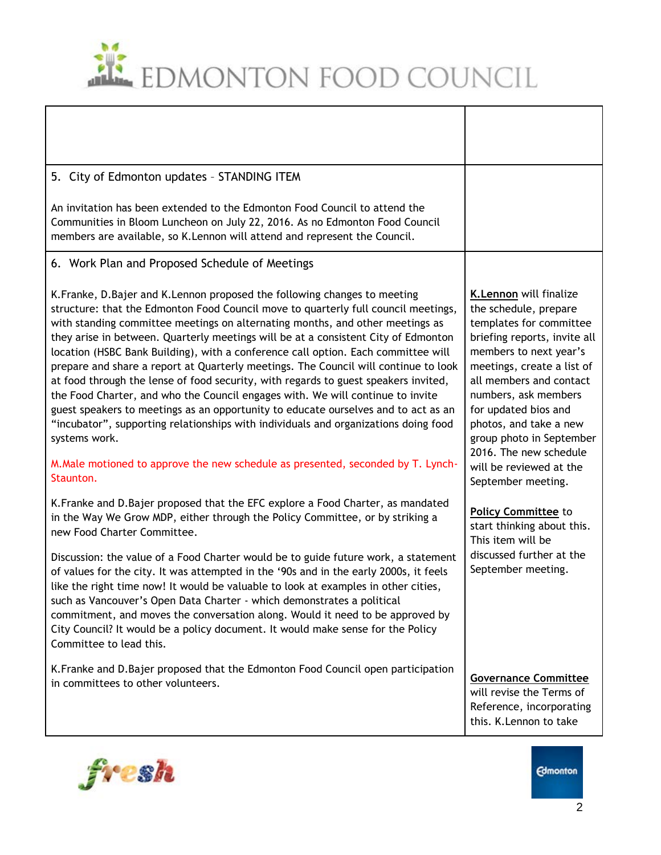

| 5. City of Edmonton updates - STANDING ITEM                                                                                                                                                                                                                                                                                                                                                                                                                                                                                                                                                                                                                                                                                                                                                                                                                                                                                                                                                 |                                                                                                                                                                                                                                                                                                                                                                 |
|---------------------------------------------------------------------------------------------------------------------------------------------------------------------------------------------------------------------------------------------------------------------------------------------------------------------------------------------------------------------------------------------------------------------------------------------------------------------------------------------------------------------------------------------------------------------------------------------------------------------------------------------------------------------------------------------------------------------------------------------------------------------------------------------------------------------------------------------------------------------------------------------------------------------------------------------------------------------------------------------|-----------------------------------------------------------------------------------------------------------------------------------------------------------------------------------------------------------------------------------------------------------------------------------------------------------------------------------------------------------------|
| An invitation has been extended to the Edmonton Food Council to attend the<br>Communities in Bloom Luncheon on July 22, 2016. As no Edmonton Food Council<br>members are available, so K. Lennon will attend and represent the Council.                                                                                                                                                                                                                                                                                                                                                                                                                                                                                                                                                                                                                                                                                                                                                     |                                                                                                                                                                                                                                                                                                                                                                 |
| 6. Work Plan and Proposed Schedule of Meetings                                                                                                                                                                                                                                                                                                                                                                                                                                                                                                                                                                                                                                                                                                                                                                                                                                                                                                                                              |                                                                                                                                                                                                                                                                                                                                                                 |
| K. Franke, D. Bajer and K. Lennon proposed the following changes to meeting<br>structure: that the Edmonton Food Council move to quarterly full council meetings,<br>with standing committee meetings on alternating months, and other meetings as<br>they arise in between. Quarterly meetings will be at a consistent City of Edmonton<br>location (HSBC Bank Building), with a conference call option. Each committee will<br>prepare and share a report at Quarterly meetings. The Council will continue to look<br>at food through the lense of food security, with regards to guest speakers invited,<br>the Food Charter, and who the Council engages with. We will continue to invite<br>guest speakers to meetings as an opportunity to educate ourselves and to act as an<br>"incubator", supporting relationships with individuals and organizations doing food<br>systems work.<br>M.Male motioned to approve the new schedule as presented, seconded by T. Lynch-<br>Staunton. | <b>K.Lennon</b> will finalize<br>the schedule, prepare<br>templates for committee<br>briefing reports, invite all<br>members to next year's<br>meetings, create a list of<br>all members and contact<br>numbers, ask members<br>for updated bios and<br>photos, and take a new<br>group photo in September<br>2016. The new schedule<br>will be reviewed at the |
| K. Franke and D. Bajer proposed that the EFC explore a Food Charter, as mandated<br>in the Way We Grow MDP, either through the Policy Committee, or by striking a<br>new Food Charter Committee.<br>Discussion: the value of a Food Charter would be to guide future work, a statement<br>of values for the city. It was attempted in the '90s and in the early 2000s, it feels<br>like the right time now! It would be valuable to look at examples in other cities.<br>such as Vancouver's Open Data Charter - which demonstrates a political                                                                                                                                                                                                                                                                                                                                                                                                                                             | September meeting.<br><b>Policy Committee to</b><br>start thinking about this.<br>This item will be<br>discussed further at the<br>September meeting.                                                                                                                                                                                                           |
| commitment, and moves the conversation along. Would it need to be approved by<br>City Council? It would be a policy document. It would make sense for the Policy<br>Committee to lead this.                                                                                                                                                                                                                                                                                                                                                                                                                                                                                                                                                                                                                                                                                                                                                                                                 |                                                                                                                                                                                                                                                                                                                                                                 |
| K. Franke and D. Bajer proposed that the Edmonton Food Council open participation<br>in committees to other volunteers.                                                                                                                                                                                                                                                                                                                                                                                                                                                                                                                                                                                                                                                                                                                                                                                                                                                                     | <b>Governance Committee</b><br>will revise the Terms of<br>Reference, incorporating<br>this. K.Lennon to take                                                                                                                                                                                                                                                   |

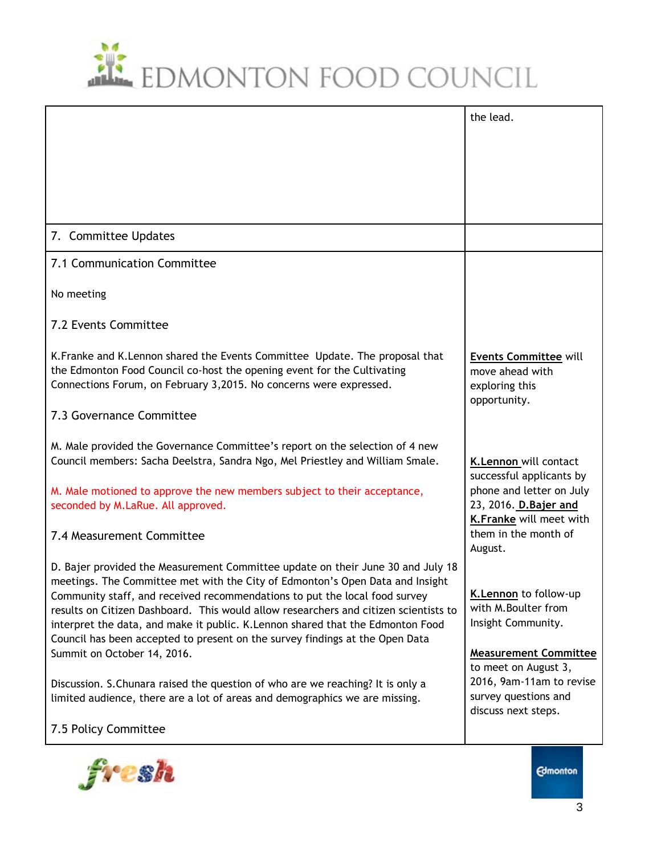## EDMONTON FOOD COUNCIL

|                                                                                                                                                                                                                                                        | the lead.                                            |
|--------------------------------------------------------------------------------------------------------------------------------------------------------------------------------------------------------------------------------------------------------|------------------------------------------------------|
|                                                                                                                                                                                                                                                        |                                                      |
|                                                                                                                                                                                                                                                        |                                                      |
|                                                                                                                                                                                                                                                        |                                                      |
|                                                                                                                                                                                                                                                        |                                                      |
| 7. Committee Updates                                                                                                                                                                                                                                   |                                                      |
| 7.1 Communication Committee                                                                                                                                                                                                                            |                                                      |
| No meeting                                                                                                                                                                                                                                             |                                                      |
| 7.2 Events Committee                                                                                                                                                                                                                                   |                                                      |
| K. Franke and K. Lennon shared the Events Committee Update. The proposal that<br>the Edmonton Food Council co-host the opening event for the Cultivating                                                                                               | <b>Events Committee will</b><br>move ahead with      |
| Connections Forum, on February 3,2015. No concerns were expressed.                                                                                                                                                                                     | exploring this<br>opportunity.                       |
| 7.3 Governance Committee                                                                                                                                                                                                                               |                                                      |
| M. Male provided the Governance Committee's report on the selection of 4 new<br>Council members: Sacha Deelstra, Sandra Ngo, Mel Priestley and William Smale.                                                                                          | K.Lennon will contact                                |
| M. Male motioned to approve the new members subject to their acceptance,                                                                                                                                                                               | successful applicants by<br>phone and letter on July |
| seconded by M.LaRue. All approved.                                                                                                                                                                                                                     | 23, 2016. D. Bajer and<br>K.Franke will meet with    |
| 7.4 Measurement Committee                                                                                                                                                                                                                              | them in the month of<br>August.                      |
| D. Bajer provided the Measurement Committee update on their June 30 and July 18<br>meetings. The Committee met with the City of Edmonton's Open Data and Insight                                                                                       |                                                      |
| Community staff, and received recommendations to put the local food survey                                                                                                                                                                             | K.Lennon to follow-up<br>with M.Boulter from         |
| results on Citizen Dashboard. This would allow researchers and citizen scientists to<br>interpret the data, and make it public. K.Lennon shared that the Edmonton Food<br>Council has been accepted to present on the survey findings at the Open Data | Insight Community.                                   |
| Summit on October 14, 2016.                                                                                                                                                                                                                            | <b>Measurement Committee</b>                         |
| Discussion. S. Chunara raised the question of who are we reaching? It is only a                                                                                                                                                                        | to meet on August 3,<br>2016, 9am-11am to revise     |
| limited audience, there are a lot of areas and demographics we are missing.                                                                                                                                                                            | survey questions and                                 |
| 7.5 Policy Committee                                                                                                                                                                                                                                   | discuss next steps.                                  |
|                                                                                                                                                                                                                                                        |                                                      |



**Edmonton**